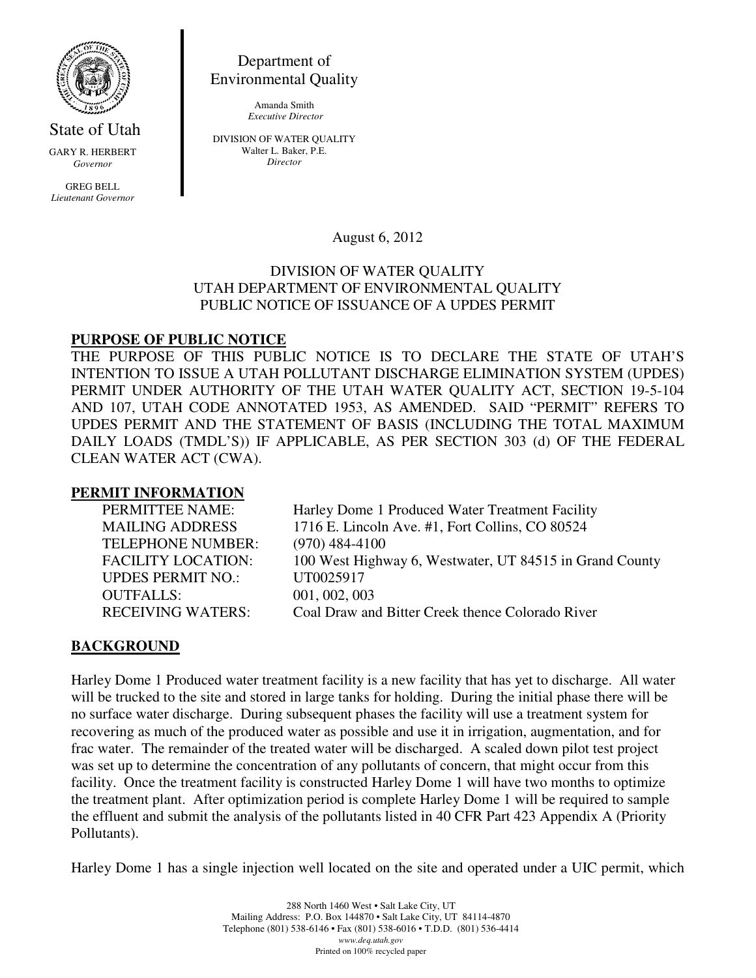

State of Utah GARY R. HERBERT *Governor* 

GREG BELL *Lieutenant Governor* 

Department of Environmental Quality

> Amanda Smith  *Executive Director*

DIVISION OF WATER QUALITY Walter L. Baker, P.E. *Director* 

August 6, 2012

### DIVISION OF WATER QUALITY UTAH DEPARTMENT OF ENVIRONMENTAL QUALITY PUBLIC NOTICE OF ISSUANCE OF A UPDES PERMIT

## **PURPOSE OF PUBLIC NOTICE**

THE PURPOSE OF THIS PUBLIC NOTICE IS TO DECLARE THE STATE OF UTAH'S INTENTION TO ISSUE A UTAH POLLUTANT DISCHARGE ELIMINATION SYSTEM (UPDES) PERMIT UNDER AUTHORITY OF THE UTAH WATER QUALITY ACT, SECTION 19-5-104 AND 107, UTAH CODE ANNOTATED 1953, AS AMENDED. SAID "PERMIT" REFERS TO UPDES PERMIT AND THE STATEMENT OF BASIS (INCLUDING THE TOTAL MAXIMUM DAILY LOADS (TMDL'S)) IF APPLICABLE, AS PER SECTION 303 (d) OF THE FEDERAL CLEAN WATER ACT (CWA).

## **PERMIT INFORMATION**

TELEPHONE NUMBER: (970) 484-4100 UPDES PERMIT NO.: UT0025917 OUTFALLS: 001, 002, 003

PERMITTEE NAME: Harley Dome 1 Produced Water Treatment Facility MAILING ADDRESS 1716 E. Lincoln Ave. #1, Fort Collins, CO 80524 FACILITY LOCATION: 100 West Highway 6, Westwater, UT 84515 in Grand County RECEIVING WATERS: Coal Draw and Bitter Creek thence Colorado River

# **BACKGROUND**

Harley Dome 1 Produced water treatment facility is a new facility that has yet to discharge. All water will be trucked to the site and stored in large tanks for holding. During the initial phase there will be no surface water discharge. During subsequent phases the facility will use a treatment system for recovering as much of the produced water as possible and use it in irrigation, augmentation, and for frac water. The remainder of the treated water will be discharged. A scaled down pilot test project was set up to determine the concentration of any pollutants of concern, that might occur from this facility. Once the treatment facility is constructed Harley Dome 1 will have two months to optimize the treatment plant. After optimization period is complete Harley Dome 1 will be required to sample the effluent and submit the analysis of the pollutants listed in 40 CFR Part 423 Appendix A (Priority Pollutants).

Harley Dome 1 has a single injection well located on the site and operated under a UIC permit, which